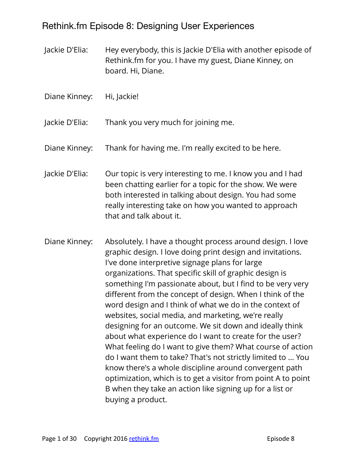# Rethink.fm Episode 8: Designing User Experiences

Jackie D'Elia: Hey everybody, this is Jackie D'Elia with another episode of Rethink.fm for you. I have my guest, Diane Kinney, on board. Hi, Diane.

Diane Kinney: Hi, Jackie!

Jackie D'Elia: Thank you very much for joining me.

Diane Kinney: Thank for having me. I'm really excited to be here.

- Jackie D'Elia: Our topic is very interesting to me. I know you and I had been chatting earlier for a topic for the show. We were both interested in talking about design. You had some really interesting take on how you wanted to approach that and talk about it.
- Diane Kinney: Absolutely. I have a thought process around design. I love graphic design. I love doing print design and invitations. I've done interpretive signage plans for large organizations. That specific skill of graphic design is something I'm passionate about, but I find to be very very different from the concept of design. When I think of the word design and I think of what we do in the context of websites, social media, and marketing, we're really designing for an outcome. We sit down and ideally think about what experience do I want to create for the user? What feeling do I want to give them? What course of action do I want them to take? That's not strictly limited to ... You know there's a whole discipline around convergent path optimization, which is to get a visitor from point A to point B when they take an action like signing up for a list or buying a product.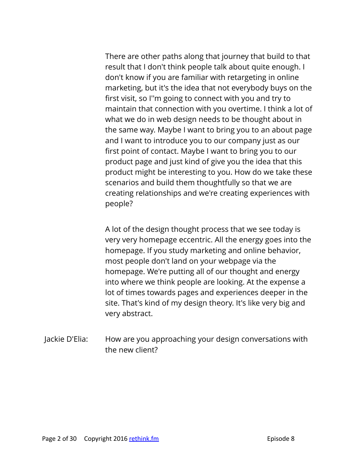There are other paths along that journey that build to that result that I don't think people talk about quite enough. I don't know if you are familiar with retargeting in online marketing, but it's the idea that not everybody buys on the first visit, so I''m going to connect with you and try to maintain that connection with you overtime. I think a lot of what we do in web design needs to be thought about in the same way. Maybe I want to bring you to an about page and I want to introduce you to our company just as our first point of contact. Maybe I want to bring you to our product page and just kind of give you the idea that this product might be interesting to you. How do we take these scenarios and build them thoughtfully so that we are creating relationships and we're creating experiences with people?

A lot of the design thought process that we see today is very very homepage eccentric. All the energy goes into the homepage. If you study marketing and online behavior, most people don't land on your webpage via the homepage. We're putting all of our thought and energy into where we think people are looking. At the expense a lot of times towards pages and experiences deeper in the site. That's kind of my design theory. It's like very big and very abstract.

Jackie D'Elia: How are you approaching your design conversations with the new client?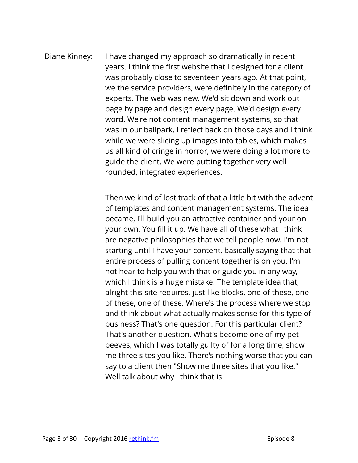Diane Kinney: I have changed my approach so dramatically in recent years. I think the first website that I designed for a client was probably close to seventeen years ago. At that point, we the service providers, were definitely in the category of experts. The web was new. We'd sit down and work out page by page and design every page. We'd design every word. We're not content management systems, so that was in our ballpark. I reflect back on those days and I think while we were slicing up images into tables, which makes us all kind of cringe in horror, we were doing a lot more to guide the client. We were putting together very well rounded, integrated experiences.

> Then we kind of lost track of that a little bit with the advent of templates and content management systems. The idea became, I'll build you an attractive container and your on your own. You fill it up. We have all of these what I think are negative philosophies that we tell people now. I'm not starting until I have your content, basically saying that that entire process of pulling content together is on you. I'm not hear to help you with that or guide you in any way, which I think is a huge mistake. The template idea that, alright this site requires, just like blocks, one of these, one of these, one of these. Where's the process where we stop and think about what actually makes sense for this type of business? That's one question. For this particular client? That's another question. What's become one of my pet peeves, which I was totally guilty of for a long time, show me three sites you like. There's nothing worse that you can say to a client then "Show me three sites that you like." Well talk about why I think that is.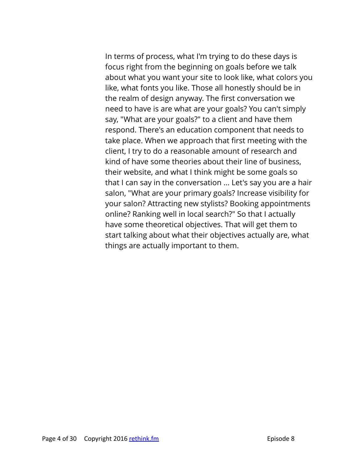In terms of process, what I'm trying to do these days is focus right from the beginning on goals before we talk about what you want your site to look like, what colors you like, what fonts you like. Those all honestly should be in the realm of design anyway. The first conversation we need to have is are what are your goals? You can't simply say, "What are your goals?" to a client and have them respond. There's an education component that needs to take place. When we approach that first meeting with the client, I try to do a reasonable amount of research and kind of have some theories about their line of business, their website, and what I think might be some goals so that I can say in the conversation ... Let's say you are a hair salon, "What are your primary goals? Increase visibility for your salon? Attracting new stylists? Booking appointments online? Ranking well in local search?" So that I actually have some theoretical objectives. That will get them to start talking about what their objectives actually are, what things are actually important to them.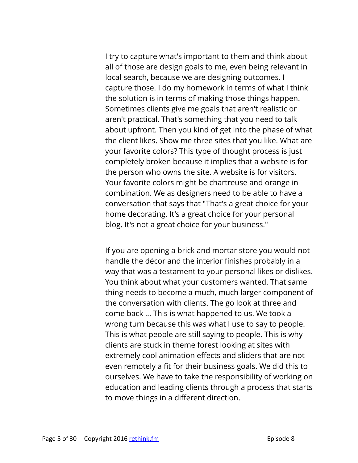I try to capture what's important to them and think about all of those are design goals to me, even being relevant in local search, because we are designing outcomes. I capture those. I do my homework in terms of what I think the solution is in terms of making those things happen. Sometimes clients give me goals that aren't realistic or aren't practical. That's something that you need to talk about upfront. Then you kind of get into the phase of what the client likes. Show me three sites that you like. What are your favorite colors? This type of thought process is just completely broken because it implies that a website is for the person who owns the site. A website is for visitors. Your favorite colors might be chartreuse and orange in combination. We as designers need to be able to have a conversation that says that "That's a great choice for your home decorating. It's a great choice for your personal blog. It's not a great choice for your business."

If you are opening a brick and mortar store you would not handle the décor and the interior finishes probably in a way that was a testament to your personal likes or dislikes. You think about what your customers wanted. That same thing needs to become a much, much larger component of the conversation with clients. The go look at three and come back ... This is what happened to us. We took a wrong turn because this was what I use to say to people. This is what people are still saying to people. This is why clients are stuck in theme forest looking at sites with extremely cool animation effects and sliders that are not even remotely a fit for their business goals. We did this to ourselves. We have to take the responsibility of working on education and leading clients through a process that starts to move things in a different direction.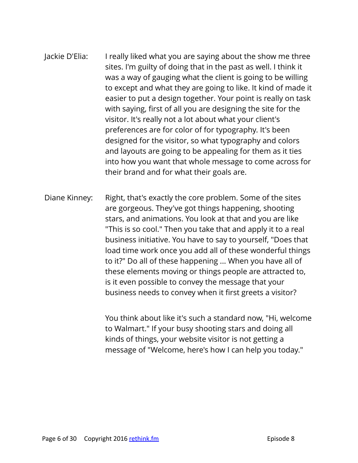- Jackie D'Elia: I really liked what you are saying about the show me three sites. I'm guilty of doing that in the past as well. I think it was a way of gauging what the client is going to be willing to except and what they are going to like. It kind of made it easier to put a design together. Your point is really on task with saying, first of all you are designing the site for the visitor. It's really not a lot about what your client's preferences are for color of for typography. It's been designed for the visitor, so what typography and colors and layouts are going to be appealing for them as it ties into how you want that whole message to come across for their brand and for what their goals are.
- Diane Kinney: Right, that's exactly the core problem. Some of the sites are gorgeous. They've got things happening, shooting stars, and animations. You look at that and you are like "This is so cool." Then you take that and apply it to a real business initiative. You have to say to yourself, "Does that load time work once you add all of these wonderful things to it?" Do all of these happening ... When you have all of these elements moving or things people are attracted to, is it even possible to convey the message that your business needs to convey when it first greets a visitor?

You think about like it's such a standard now, "Hi, welcome to Walmart." If your busy shooting stars and doing all kinds of things, your website visitor is not getting a message of "Welcome, here's how I can help you today."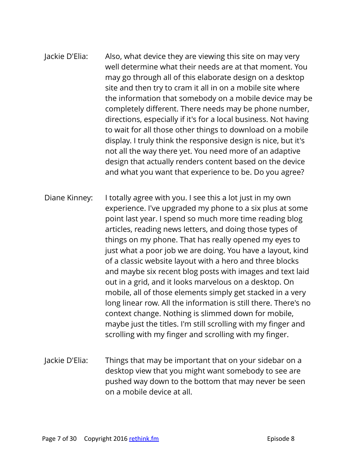# Jackie D'Elia: Also, what device they are viewing this site on may very well determine what their needs are at that moment. You may go through all of this elaborate design on a desktop site and then try to cram it all in on a mobile site where the information that somebody on a mobile device may be completely different. There needs may be phone number, directions, especially if it's for a local business. Not having to wait for all those other things to download on a mobile display. I truly think the responsive design is nice, but it's not all the way there yet. You need more of an adaptive design that actually renders content based on the device and what you want that experience to be. Do you agree?

- Diane Kinney: I totally agree with you. I see this a lot just in my own experience. I've upgraded my phone to a six plus at some point last year. I spend so much more time reading blog articles, reading news letters, and doing those types of things on my phone. That has really opened my eyes to just what a poor job we are doing. You have a layout, kind of a classic website layout with a hero and three blocks and maybe six recent blog posts with images and text laid out in a grid, and it looks marvelous on a desktop. On mobile, all of those elements simply get stacked in a very long linear row. All the information is still there. There's no context change. Nothing is slimmed down for mobile, maybe just the titles. I'm still scrolling with my finger and scrolling with my finger and scrolling with my finger.
- Jackie D'Elia: Things that may be important that on your sidebar on a desktop view that you might want somebody to see are pushed way down to the bottom that may never be seen on a mobile device at all.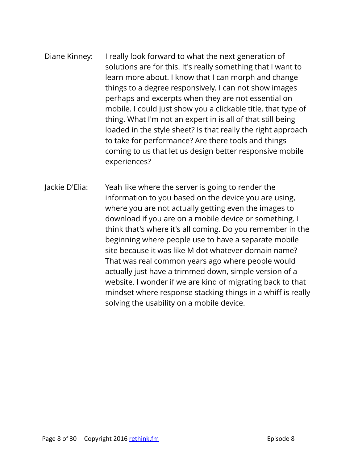# Diane Kinney: I really look forward to what the next generation of solutions are for this. It's really something that I want to learn more about. I know that I can morph and change things to a degree responsively. I can not show images perhaps and excerpts when they are not essential on mobile. I could just show you a clickable title, that type of thing. What I'm not an expert in is all of that still being loaded in the style sheet? Is that really the right approach to take for performance? Are there tools and things coming to us that let us design better responsive mobile experiences?

Jackie D'Elia: Yeah like where the server is going to render the information to you based on the device you are using, where you are not actually getting even the images to download if you are on a mobile device or something. I think that's where it's all coming. Do you remember in the beginning where people use to have a separate mobile site because it was like M dot whatever domain name? That was real common years ago where people would actually just have a trimmed down, simple version of a website. I wonder if we are kind of migrating back to that mindset where response stacking things in a whiff is really solving the usability on a mobile device.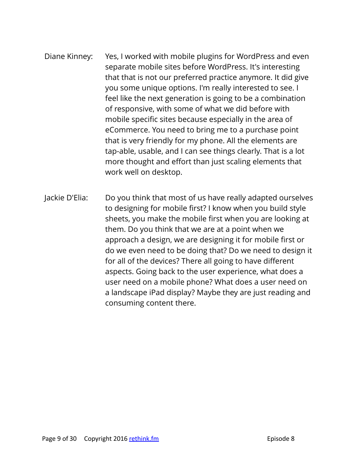- Diane Kinney: Yes, I worked with mobile plugins for WordPress and even separate mobile sites before WordPress. It's interesting that that is not our preferred practice anymore. It did give you some unique options. I'm really interested to see. I feel like the next generation is going to be a combination of responsive, with some of what we did before with mobile specific sites because especially in the area of eCommerce. You need to bring me to a purchase point that is very friendly for my phone. All the elements are tap-able, usable, and I can see things clearly. That is a lot more thought and effort than just scaling elements that work well on desktop.
- Jackie D'Elia: Do you think that most of us have really adapted ourselves to designing for mobile first? I know when you build style sheets, you make the mobile first when you are looking at them. Do you think that we are at a point when we approach a design, we are designing it for mobile first or do we even need to be doing that? Do we need to design it for all of the devices? There all going to have different aspects. Going back to the user experience, what does a user need on a mobile phone? What does a user need on a landscape iPad display? Maybe they are just reading and consuming content there.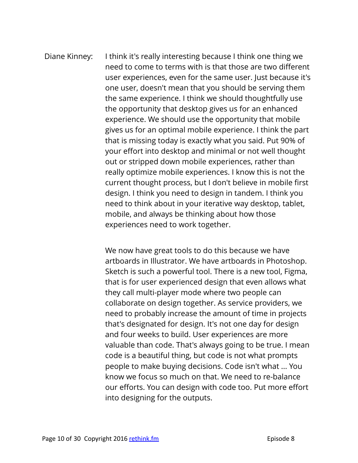# Diane Kinney: I think it's really interesting because I think one thing we need to come to terms with is that those are two different user experiences, even for the same user. Just because it's one user, doesn't mean that you should be serving them the same experience. I think we should thoughtfully use the opportunity that desktop gives us for an enhanced experience. We should use the opportunity that mobile gives us for an optimal mobile experience. I think the part that is missing today is exactly what you said. Put 90% of your effort into desktop and minimal or not well thought out or stripped down mobile experiences, rather than really optimize mobile experiences. I know this is not the current thought process, but I don't believe in mobile first design. I think you need to design in tandem. I think you need to think about in your iterative way desktop, tablet, mobile, and always be thinking about how those experiences need to work together.

We now have great tools to do this because we have artboards in Illustrator. We have artboards in Photoshop. Sketch is such a powerful tool. There is a new tool, Figma, that is for user experienced design that even allows what they call multi-player mode where two people can collaborate on design together. As service providers, we need to probably increase the amount of time in projects that's designated for design. It's not one day for design and four weeks to build. User experiences are more valuable than code. That's always going to be true. I mean code is a beautiful thing, but code is not what prompts people to make buying decisions. Code isn't what ... You know we focus so much on that. We need to re-balance our efforts. You can design with code too. Put more effort into designing for the outputs.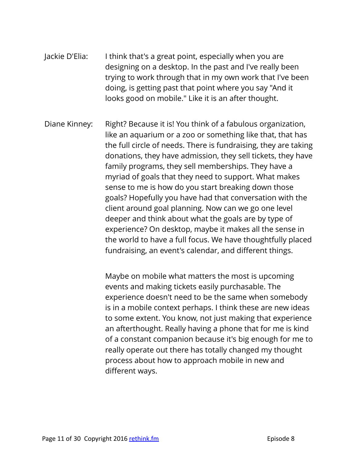- Jackie D'Elia: I think that's a great point, especially when you are designing on a desktop. In the past and I've really been trying to work through that in my own work that I've been doing, is getting past that point where you say "And it looks good on mobile." Like it is an after thought.
- Diane Kinney: Right? Because it is! You think of a fabulous organization, like an aquarium or a zoo or something like that, that has the full circle of needs. There is fundraising, they are taking donations, they have admission, they sell tickets, they have family programs, they sell memberships. They have a myriad of goals that they need to support. What makes sense to me is how do you start breaking down those goals? Hopefully you have had that conversation with the client around goal planning. Now can we go one level deeper and think about what the goals are by type of experience? On desktop, maybe it makes all the sense in the world to have a full focus. We have thoughtfully placed fundraising, an event's calendar, and different things.

Maybe on mobile what matters the most is upcoming events and making tickets easily purchasable. The experience doesn't need to be the same when somebody is in a mobile context perhaps. I think these are new ideas to some extent. You know, not just making that experience an afterthought. Really having a phone that for me is kind of a constant companion because it's big enough for me to really operate out there has totally changed my thought process about how to approach mobile in new and different ways.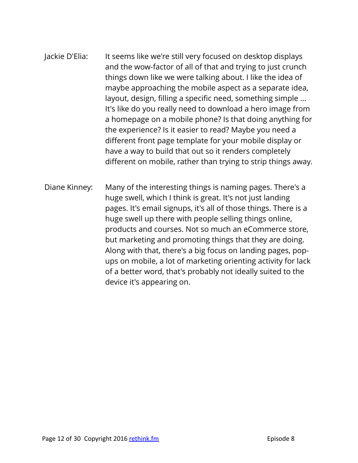- Jackie D'Elia: It seems like we're still very focused on desktop displays and the wow-factor of all of that and trying to just crunch things down like we were talking about. I like the idea of maybe approaching the mobile aspect as a separate idea, layout, design, filling a specific need, something simple ... It's like do you really need to download a hero image from a homepage on a mobile phone? Is that doing anything for the experience? Is it easier to read? Maybe you need a different front page template for your mobile display or have a way to build that out so it renders completely different on mobile, rather than trying to strip things away.
- Diane Kinney: Many of the interesting things is naming pages. There's a huge swell, which I think is great. It's not just landing pages. It's email signups, it's all of those things. There is a huge swell up there with people selling things online, products and courses. Not so much an eCommerce store, but marketing and promoting things that they are doing. Along with that, there's a big focus on landing pages, popups on mobile, a lot of marketing orienting activity for lack of a better word, that's probably not ideally suited to the device it's appearing on.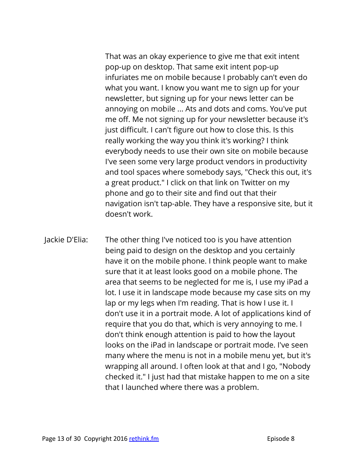That was an okay experience to give me that exit intent pop-up on desktop. That same exit intent pop-up infuriates me on mobile because I probably can't even do what you want. I know you want me to sign up for your newsletter, but signing up for your news letter can be annoying on mobile ... Ats and dots and coms. You've put me off. Me not signing up for your newsletter because it's just difficult. I can't figure out how to close this. Is this really working the way you think it's working? I think everybody needs to use their own site on mobile because I've seen some very large product vendors in productivity and tool spaces where somebody says, "Check this out, it's a great product." I click on that link on Twitter on my phone and go to their site and find out that their navigation isn't tap-able. They have a responsive site, but it doesn't work.

Jackie D'Elia: The other thing I've noticed too is you have attention being paid to design on the desktop and you certainly have it on the mobile phone. I think people want to make sure that it at least looks good on a mobile phone. The area that seems to be neglected for me is, I use my iPad a lot. I use it in landscape mode because my case sits on my lap or my legs when I'm reading. That is how I use it. I don't use it in a portrait mode. A lot of applications kind of require that you do that, which is very annoying to me. I don't think enough attention is paid to how the layout looks on the iPad in landscape or portrait mode. I've seen many where the menu is not in a mobile menu yet, but it's wrapping all around. I often look at that and I go, "Nobody checked it." I just had that mistake happen to me on a site that I launched where there was a problem.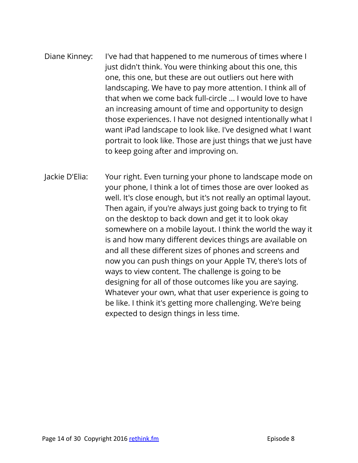- Diane Kinney: I've had that happened to me numerous of times where I just didn't think. You were thinking about this one, this one, this one, but these are out outliers out here with landscaping. We have to pay more attention. I think all of that when we come back full-circle ... I would love to have an increasing amount of time and opportunity to design those experiences. I have not designed intentionally what I want iPad landscape to look like. I've designed what I want portrait to look like. Those are just things that we just have to keep going after and improving on.
- Jackie D'Elia: Your right. Even turning your phone to landscape mode on your phone, I think a lot of times those are over looked as well. It's close enough, but it's not really an optimal layout. Then again, if you're always just going back to trying to fit on the desktop to back down and get it to look okay somewhere on a mobile layout. I think the world the way it is and how many different devices things are available on and all these different sizes of phones and screens and now you can push things on your Apple TV, there's lots of ways to view content. The challenge is going to be designing for all of those outcomes like you are saying. Whatever your own, what that user experience is going to be like. I think it's getting more challenging. We're being expected to design things in less time.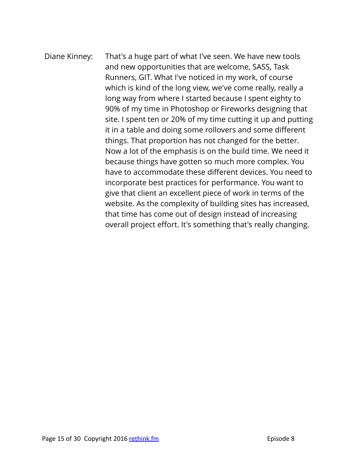# Diane Kinney: That's a huge part of what I've seen. We have new tools and new opportunities that are welcome, SASS, Task Runners, GIT. What I've noticed in my work, of course which is kind of the long view, we've come really, really a long way from where I started because I spent eighty to 90% of my time in Photoshop or Fireworks designing that site. I spent ten or 20% of my time cutting it up and putting it in a table and doing some rollovers and some different things. That proportion has not changed for the better. Now a lot of the emphasis is on the build time. We need it because things have gotten so much more complex. You have to accommodate these different devices. You need to incorporate best practices for performance. You want to give that client an excellent piece of work in terms of the website. As the complexity of building sites has increased, that time has come out of design instead of increasing overall project effort. It's something that's really changing.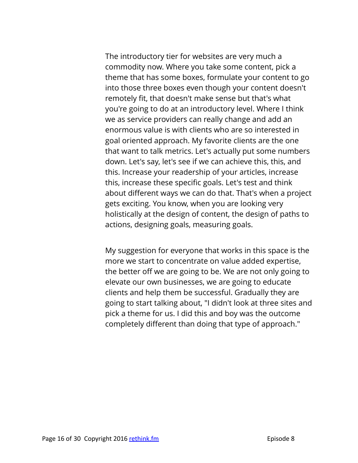The introductory tier for websites are very much a commodity now. Where you take some content, pick a theme that has some boxes, formulate your content to go into those three boxes even though your content doesn't remotely fit, that doesn't make sense but that's what you're going to do at an introductory level. Where I think we as service providers can really change and add an enormous value is with clients who are so interested in goal oriented approach. My favorite clients are the one that want to talk metrics. Let's actually put some numbers down. Let's say, let's see if we can achieve this, this, and this. Increase your readership of your articles, increase this, increase these specific goals. Let's test and think about different ways we can do that. That's when a project gets exciting. You know, when you are looking very holistically at the design of content, the design of paths to actions, designing goals, measuring goals.

My suggestion for everyone that works in this space is the more we start to concentrate on value added expertise, the better off we are going to be. We are not only going to elevate our own businesses, we are going to educate clients and help them be successful. Gradually they are going to start talking about, "I didn't look at three sites and pick a theme for us. I did this and boy was the outcome completely different than doing that type of approach."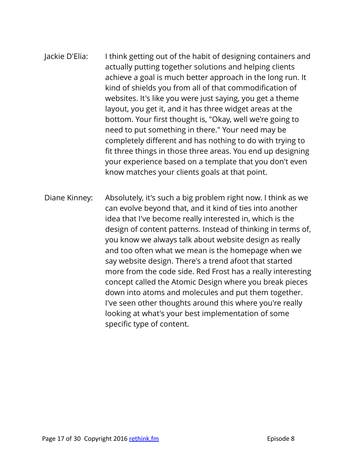# Jackie D'Elia: I think getting out of the habit of designing containers and actually putting together solutions and helping clients achieve a goal is much better approach in the long run. It kind of shields you from all of that commodification of websites. It's like you were just saying, you get a theme layout, you get it, and it has three widget areas at the bottom. Your first thought is, "Okay, well we're going to need to put something in there." Your need may be completely different and has nothing to do with trying to fit three things in those three areas. You end up designing your experience based on a template that you don't even know matches your clients goals at that point.

Diane Kinney: Absolutely, it's such a big problem right now. I think as we can evolve beyond that, and it kind of ties into another idea that I've become really interested in, which is the design of content patterns. Instead of thinking in terms of, you know we always talk about website design as really and too often what we mean is the homepage when we say website design. There's a trend afoot that started more from the code side. Red Frost has a really interesting concept called the Atomic Design where you break pieces down into atoms and molecules and put them together. I've seen other thoughts around this where you're really looking at what's your best implementation of some specific type of content.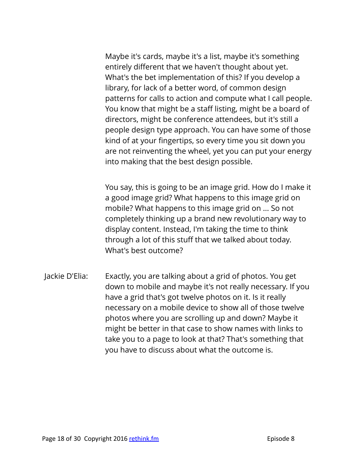Maybe it's cards, maybe it's a list, maybe it's something entirely different that we haven't thought about yet. What's the bet implementation of this? If you develop a library, for lack of a better word, of common design patterns for calls to action and compute what I call people. You know that might be a staff listing, might be a board of directors, might be conference attendees, but it's still a people design type approach. You can have some of those kind of at your fingertips, so every time you sit down you are not reinventing the wheel, yet you can put your energy into making that the best design possible.

You say, this is going to be an image grid. How do I make it a good image grid? What happens to this image grid on mobile? What happens to this image grid on ... So not completely thinking up a brand new revolutionary way to display content. Instead, I'm taking the time to think through a lot of this stuff that we talked about today. What's best outcome?

Jackie D'Elia: Exactly, you are talking about a grid of photos. You get down to mobile and maybe it's not really necessary. If you have a grid that's got twelve photos on it. Is it really necessary on a mobile device to show all of those twelve photos where you are scrolling up and down? Maybe it might be better in that case to show names with links to take you to a page to look at that? That's something that you have to discuss about what the outcome is.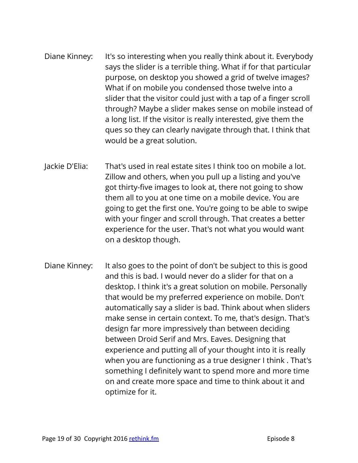- Diane Kinney: It's so interesting when you really think about it. Everybody says the slider is a terrible thing. What if for that particular purpose, on desktop you showed a grid of twelve images? What if on mobile you condensed those twelve into a slider that the visitor could just with a tap of a finger scroll through? Maybe a slider makes sense on mobile instead of a long list. If the visitor is really interested, give them the ques so they can clearly navigate through that. I think that would be a great solution.
- Jackie D'Elia: That's used in real estate sites I think too on mobile a lot. Zillow and others, when you pull up a listing and you've got thirty-five images to look at, there not going to show them all to you at one time on a mobile device. You are going to get the first one. You're going to be able to swipe with your finger and scroll through. That creates a better experience for the user. That's not what you would want on a desktop though.
- Diane Kinney: It also goes to the point of don't be subject to this is good and this is bad. I would never do a slider for that on a desktop. I think it's a great solution on mobile. Personally that would be my preferred experience on mobile. Don't automatically say a slider is bad. Think about when sliders make sense in certain context. To me, that's design. That's design far more impressively than between deciding between Droid Serif and Mrs. Eaves. Designing that experience and putting all of your thought into it is really when you are functioning as a true designer I think . That's something I definitely want to spend more and more time on and create more space and time to think about it and optimize for it.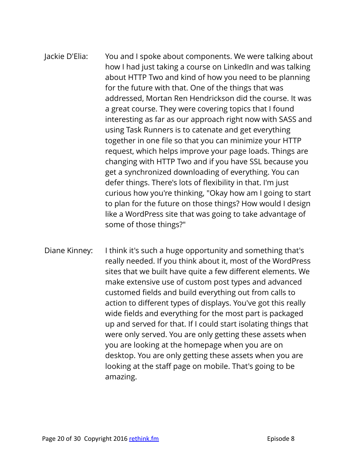# Jackie D'Elia: You and I spoke about components. We were talking about how I had just taking a course on LinkedIn and was talking about HTTP Two and kind of how you need to be planning for the future with that. One of the things that was addressed, Mortan Ren Hendrickson did the course. It was a great course. They were covering topics that I found interesting as far as our approach right now with SASS and using Task Runners is to catenate and get everything together in one file so that you can minimize your HTTP request, which helps improve your page loads. Things are changing with HTTP Two and if you have SSL because you get a synchronized downloading of everything. You can defer things. There's lots of flexibility in that. I'm just curious how you're thinking, "Okay how am I going to start to plan for the future on those things? How would I design like a WordPress site that was going to take advantage of some of those things?"

Diane Kinney: I think it's such a huge opportunity and something that's really needed. If you think about it, most of the WordPress sites that we built have quite a few different elements. We make extensive use of custom post types and advanced customed fields and build everything out from calls to action to different types of displays. You've got this really wide fields and everything for the most part is packaged up and served for that. If I could start isolating things that were only served. You are only getting these assets when you are looking at the homepage when you are on desktop. You are only getting these assets when you are looking at the staff page on mobile. That's going to be amazing.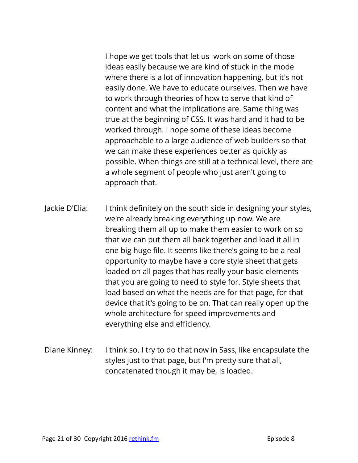I hope we get tools that let us work on some of those ideas easily because we are kind of stuck in the mode where there is a lot of innovation happening, but it's not easily done. We have to educate ourselves. Then we have to work through theories of how to serve that kind of content and what the implications are. Same thing was true at the beginning of CSS. It was hard and it had to be worked through. I hope some of these ideas become approachable to a large audience of web builders so that we can make these experiences better as quickly as possible. When things are still at a technical level, there are a whole segment of people who just aren't going to approach that.

Jackie D'Elia: I think definitely on the south side in designing your styles, we're already breaking everything up now. We are breaking them all up to make them easier to work on so that we can put them all back together and load it all in one big huge file. It seems like there's going to be a real opportunity to maybe have a core style sheet that gets loaded on all pages that has really your basic elements that you are going to need to style for. Style sheets that load based on what the needs are for that page, for that device that it's going to be on. That can really open up the whole architecture for speed improvements and everything else and efficiency.

Diane Kinney: I think so. I try to do that now in Sass, like encapsulate the styles just to that page, but I'm pretty sure that all, concatenated though it may be, is loaded.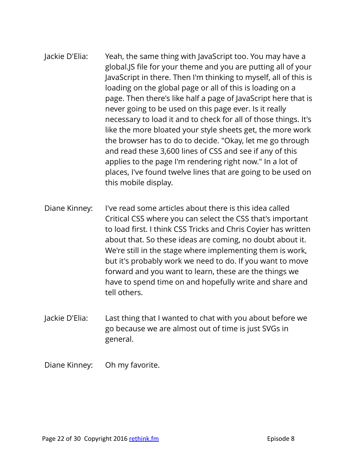Jackie D'Elia: Yeah, the same thing with JavaScript too. You may have a global.JS file for your theme and you are putting all of your JavaScript in there. Then I'm thinking to myself, all of this is loading on the global page or all of this is loading on a page. Then there's like half a page of JavaScript here that is never going to be used on this page ever. Is it really necessary to load it and to check for all of those things. It's like the more bloated your style sheets get, the more work the browser has to do to decide. "Okay, let me go through and read these 3,600 lines of CSS and see if any of this applies to the page I'm rendering right now." In a lot of places, I've found twelve lines that are going to be used on this mobile display.

- Diane Kinney: I've read some articles about there is this idea called Critical CSS where you can select the CSS that's important to load first. I think CSS Tricks and Chris Coyier has written about that. So these ideas are coming, no doubt about it. We're still in the stage where implementing them is work, but it's probably work we need to do. If you want to move forward and you want to learn, these are the things we have to spend time on and hopefully write and share and tell others.
- Jackie D'Elia: Last thing that I wanted to chat with you about before we go because we are almost out of time is just SVGs in general.
- Diane Kinney: Oh my favorite.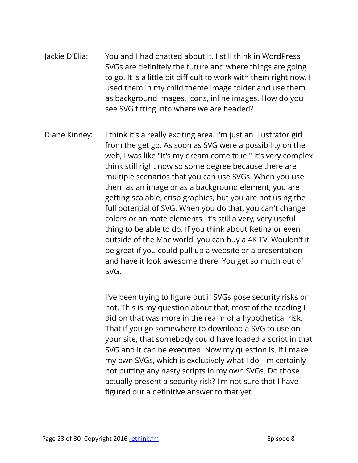- Jackie D'Elia: You and I had chatted about it. I still think in WordPress SVGs are definitely the future and where things are going to go. It is a little bit difficult to work with them right now. I used them in my child theme image folder and use them as background images, icons, inline images. How do you see SVG fitting into where we are headed?
- Diane Kinney: I think it's a really exciting area. I'm just an illustrator girl from the get go. As soon as SVG were a possibility on the web, I was like "It's my dream come true!" It's very complex think still right now so some degree because there are multiple scenarios that you can use SVGs. When you use them as an image or as a background element, you are getting scalable, crisp graphics, but you are not using the full potential of SVG. When you do that, you can't change colors or animate elements. It's still a very, very useful thing to be able to do. If you think about Retina or even outside of the Mac world, you can buy a 4K TV. Wouldn't it be great if you could pull up a website or a presentation and have it look awesome there. You get so much out of SVG.

I've been trying to figure out if SVGs pose security risks or not. This is my question about that, most of the reading I did on that was more in the realm of a hypothetical risk. That if you go somewhere to download a SVG to use on your site, that somebody could have loaded a script in that SVG and it can be executed. Now my question is, if I make my own SVGs, which is exclusively what I do, I'm certainly not putting any nasty scripts in my own SVGs. Do those actually present a security risk? I'm not sure that I have figured out a definitive answer to that yet.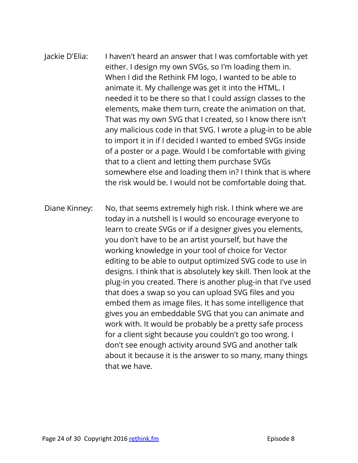Jackie D'Elia: I haven't heard an answer that I was comfortable with yet either. I design my own SVGs, so I'm loading them in. When I did the Rethink FM logo, I wanted to be able to animate it. My challenge was get it into the HTML. I needed it to be there so that I could assign classes to the elements, make them turn, create the animation on that. That was my own SVG that I created, so I know there isn't any malicious code in that SVG. I wrote a plug-in to be able to import it in if I decided I wanted to embed SVGs inside of a poster or a page. Would I be comfortable with giving that to a client and letting them purchase SVGs somewhere else and loading them in? I think that is where the risk would be. I would not be comfortable doing that.

Diane Kinney: No, that seems extremely high risk. I think where we are today in a nutshell is I would so encourage everyone to learn to create SVGs or if a designer gives you elements, you don't have to be an artist yourself, but have the working knowledge in your tool of choice for Vector editing to be able to output optimized SVG code to use in designs. I think that is absolutely key skill. Then look at the plug-in you created. There is another plug-in that I've used that does a swap so you can upload SVG files and you embed them as image files. It has some intelligence that gives you an embeddable SVG that you can animate and work with. It would be probably be a pretty safe process for a client sight because you couldn't go too wrong. I don't see enough activity around SVG and another talk about it because it is the answer to so many, many things that we have.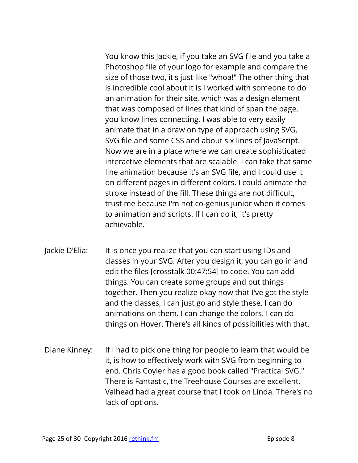You know this Jackie, if you take an SVG file and you take a Photoshop file of your logo for example and compare the size of those two, it's just like "whoa!" The other thing that is incredible cool about it is I worked with someone to do an animation for their site, which was a design element that was composed of lines that kind of span the page, you know lines connecting. I was able to very easily animate that in a draw on type of approach using SVG, SVG file and some CSS and about six lines of JavaScript. Now we are in a place where we can create sophisticated interactive elements that are scalable. I can take that same line animation because it's an SVG file, and I could use it on different pages in different colors. I could animate the stroke instead of the fill. These things are not difficult, trust me because I'm not co-genius junior when it comes to animation and scripts. If I can do it, it's pretty achievable.

- Jackie D'Elia: It is once you realize that you can start using IDs and classes in your SVG. After you design it, you can go in and edit the files [crosstalk 00:47:54] to code. You can add things. You can create some groups and put things together. Then you realize okay now that I've got the style and the classes, I can just go and style these. I can do animations on them. I can change the colors. I can do things on Hover. There's all kinds of possibilities with that.
- Diane Kinney: If I had to pick one thing for people to learn that would be it, is how to effectively work with SVG from beginning to end. Chris Coyier has a good book called "Practical SVG." There is Fantastic, the Treehouse Courses are excellent, Valhead had a great course that I took on Linda. There's no lack of options.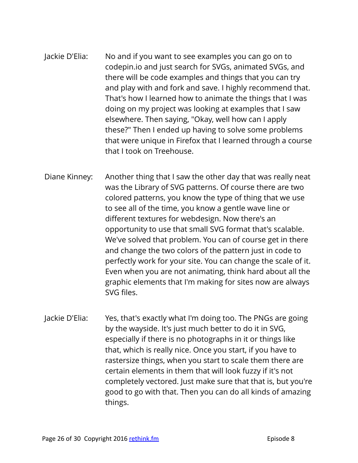- Jackie D'Elia: No and if you want to see examples you can go on to codepin.io and just search for SVGs, animated SVGs, and there will be code examples and things that you can try and play with and fork and save. I highly recommend that. That's how I learned how to animate the things that I was doing on my project was looking at examples that I saw elsewhere. Then saying, "Okay, well how can I apply these?" Then I ended up having to solve some problems that were unique in Firefox that I learned through a course that I took on Treehouse.
- Diane Kinney: Another thing that I saw the other day that was really neat was the Library of SVG patterns. Of course there are two colored patterns, you know the type of thing that we use to see all of the time, you know a gentle wave line or different textures for webdesign. Now there's an opportunity to use that small SVG format that's scalable. We've solved that problem. You can of course get in there and change the two colors of the pattern just in code to perfectly work for your site. You can change the scale of it. Even when you are not animating, think hard about all the graphic elements that I'm making for sites now are always SVG files.
- Jackie D'Elia: Yes, that's exactly what I'm doing too. The PNGs are going by the wayside. It's just much better to do it in SVG, especially if there is no photographs in it or things like that, which is really nice. Once you start, if you have to rastersize things, when you start to scale them there are certain elements in them that will look fuzzy if it's not completely vectored. Just make sure that that is, but you're good to go with that. Then you can do all kinds of amazing things.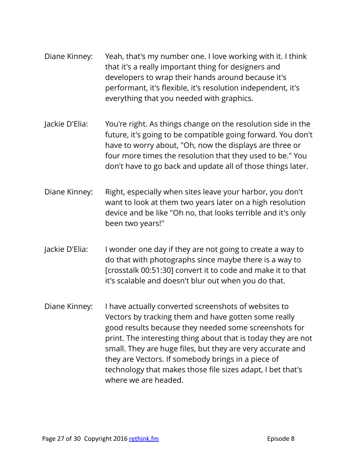- Diane Kinney: Yeah, that's my number one. I love working with it. I think that it's a really important thing for designers and developers to wrap their hands around because it's performant, it's flexible, it's resolution independent, it's everything that you needed with graphics.
- Jackie D'Elia: You're right. As things change on the resolution side in the future, it's going to be compatible going forward. You don't have to worry about, "Oh, now the displays are three or four more times the resolution that they used to be." You don't have to go back and update all of those things later.
- Diane Kinney: Right, especially when sites leave your harbor, you don't want to look at them two years later on a high resolution device and be like "Oh no, that looks terrible and it's only been two years!"
- Jackie D'Elia: I wonder one day if they are not going to create a way to do that with photographs since maybe there is a way to [crosstalk 00:51:30] convert it to code and make it to that it's scalable and doesn't blur out when you do that.
- Diane Kinney: I have actually converted screenshots of websites to Vectors by tracking them and have gotten some really good results because they needed some screenshots for print. The interesting thing about that is today they are not small. They are huge files, but they are very accurate and they are Vectors. If somebody brings in a piece of technology that makes those file sizes adapt, I bet that's where we are headed.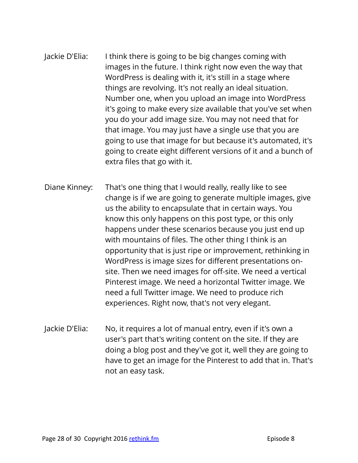- Jackie D'Elia: I think there is going to be big changes coming with images in the future. I think right now even the way that WordPress is dealing with it, it's still in a stage where things are revolving. It's not really an ideal situation. Number one, when you upload an image into WordPress it's going to make every size available that you've set when you do your add image size. You may not need that for that image. You may just have a single use that you are going to use that image for but because it's automated, it's going to create eight different versions of it and a bunch of extra files that go with it.
- Diane Kinney: That's one thing that I would really, really like to see change is if we are going to generate multiple images, give us the ability to encapsulate that in certain ways. You know this only happens on this post type, or this only happens under these scenarios because you just end up with mountains of files. The other thing I think is an opportunity that is just ripe or improvement, rethinking in WordPress is image sizes for different presentations onsite. Then we need images for off-site. We need a vertical Pinterest image. We need a horizontal Twitter image. We need a full Twitter image. We need to produce rich experiences. Right now, that's not very elegant.
- Jackie D'Elia: No, it requires a lot of manual entry, even if it's own a user's part that's writing content on the site. If they are doing a blog post and they've got it, well they are going to have to get an image for the Pinterest to add that in. That's not an easy task.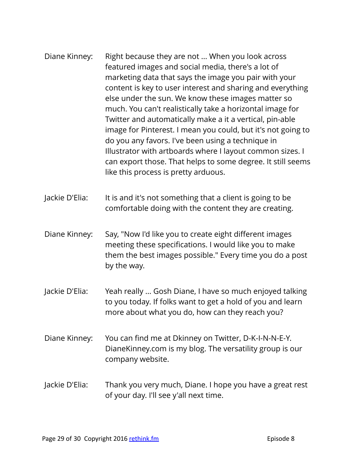- Diane Kinney: Right because they are not ... When you look across featured images and social media, there's a lot of marketing data that says the image you pair with your content is key to user interest and sharing and everything else under the sun. We know these images matter so much. You can't realistically take a horizontal image for Twitter and automatically make a it a vertical, pin-able image for Pinterest. I mean you could, but it's not going to do you any favors. I've been using a technique in Illustrator with artboards where I layout common sizes. I can export those. That helps to some degree. It still seems like this process is pretty arduous.
- Jackie D'Elia: It is and it's not something that a client is going to be comfortable doing with the content they are creating.
- Diane Kinney: Say, "Now I'd like you to create eight different images meeting these specifications. I would like you to make them the best images possible." Every time you do a post by the way.
- Jackie D'Elia: Yeah really ... Gosh Diane, I have so much enjoyed talking to you today. If folks want to get a hold of you and learn more about what you do, how can they reach you?
- Diane Kinney: You can find me at Dkinney on Twitter, D-K-I-N-N-E-Y. DianeKinney.com is my blog. The versatility group is our company website.
- Jackie D'Elia: Thank you very much, Diane. I hope you have a great rest of your day. I'll see y'all next time.